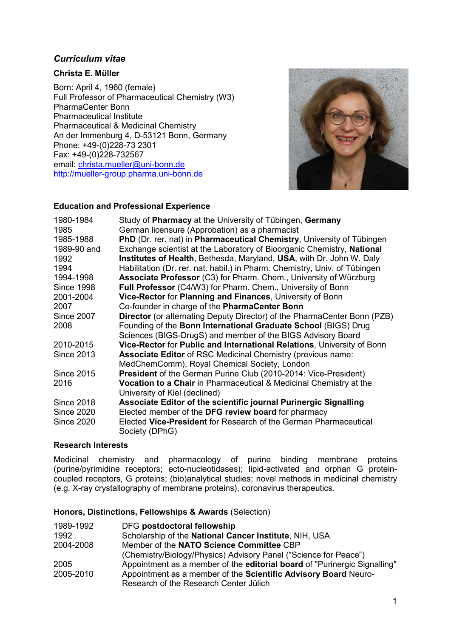# *Curriculum vitae*

# **Christa E. Müller**

Born: April 4, 1960 (female) Full Professor of Pharmaceutical Chemistry (W3) PharmaCenter Bonn Pharmaceutical Institute Pharmaceutical & Medicinal Chemistry An der Immenburg 4, D-53121 Bonn, Germany Phone: +49-(0)228-73 2301 Fax: +49-(0)228-732567 email: [christa.mueller@uni-bonn.de](mailto:christa.mueller@uni-bonn.de) [http://mueller-group.pharma.uni-bonn.de](http://mueller-group.pharma.uni-bonn.de/)



# **Education and Professional Experience**

| 1980-1984<br>1985 | Study of Pharmacy at the University of Tübingen, Germany<br>German licensure (Approbation) as a pharmacist |
|-------------------|------------------------------------------------------------------------------------------------------------|
| 1985-1988         | PhD (Dr. rer. nat) in Pharmaceutical Chemistry, University of Tübingen                                     |
| 1989-90 and       | Exchange scientist at the Laboratory of Bioorganic Chemistry, National                                     |
| 1992              | Institutes of Health, Bethesda, Maryland, USA, with Dr. John W. Daly                                       |
| 1994              | Habilitation (Dr. rer. nat. habil.) in Pharm. Chemistry, Univ. of Tübingen                                 |
| 1994-1998         | <b>Associate Professor</b> (C3) for Pharm. Chem., University of Würzburg                                   |
| <b>Since 1998</b> | Full Professor (C4/W3) for Pharm. Chem., University of Bonn                                                |
| 2001-2004         | Vice-Rector for Planning and Finances, University of Bonn                                                  |
| 2007              | Co-founder in charge of the PharmaCenter Bonn                                                              |
| <b>Since 2007</b> | <b>Director</b> (or alternating Deputy Director) of the PharmaCenter Bonn (PZB)                            |
| 2008              | Founding of the Bonn International Graduate School (BIGS) Drug                                             |
|                   | Sciences (BIGS-DrugS) and member of the BIGS Advisory Board                                                |
| 2010-2015         | Vice-Rector for Public and International Relations, University of Bonn                                     |
| <b>Since 2013</b> | <b>Associate Editor of RSC Medicinal Chemistry (previous name:</b>                                         |
|                   | MedChemComm), Royal Chemical Society, London                                                               |
| <b>Since 2015</b> | <b>President</b> of the German Purine Club (2010-2014: Vice-President)                                     |
| 2016              | <b>Vocation to a Chair</b> in Pharmaceutical & Medicinal Chemistry at the                                  |
|                   | University of Kiel (declined)                                                                              |
| <b>Since 2018</b> | Associate Editor of the scientific journal Purinergic Signalling                                           |
| <b>Since 2020</b> | Elected member of the DFG review board for pharmacy                                                        |
| <b>Since 2020</b> | Elected Vice-President for Research of the German Pharmaceutical<br>Society (DPhG)                         |

## **Research Interests**

Medicinal chemistry and pharmacology of purine binding membrane proteins (purine/pyrimidine receptors; ecto-nucleotidases); lipid-activated and orphan G proteincoupled receptors, G proteins; (bio)analytical studies; novel methods in medicinal chemistry (e.g. X-ray crystallography of membrane proteins), coronavirus therapeutics.

#### **Honors, Distinctions, Fellowships & Awards** (Selection)

| 1989-1992 | DFG postdoctoral fellowship                                               |
|-----------|---------------------------------------------------------------------------|
| 1992      | Scholarship of the National Cancer Institute, NIH, USA                    |
| 2004-2008 | Member of the NATO Science Committee CBP                                  |
|           | (Chemistry/Biology/Physics) Advisory Panel ("Science for Peace")          |
| 2005      | Appointment as a member of the editorial board of "Purinergic Signalling" |
| 2005-2010 | Appointment as a member of the Scientific Advisory Board Neuro-           |
|           | Research of the Research Center Jülich                                    |